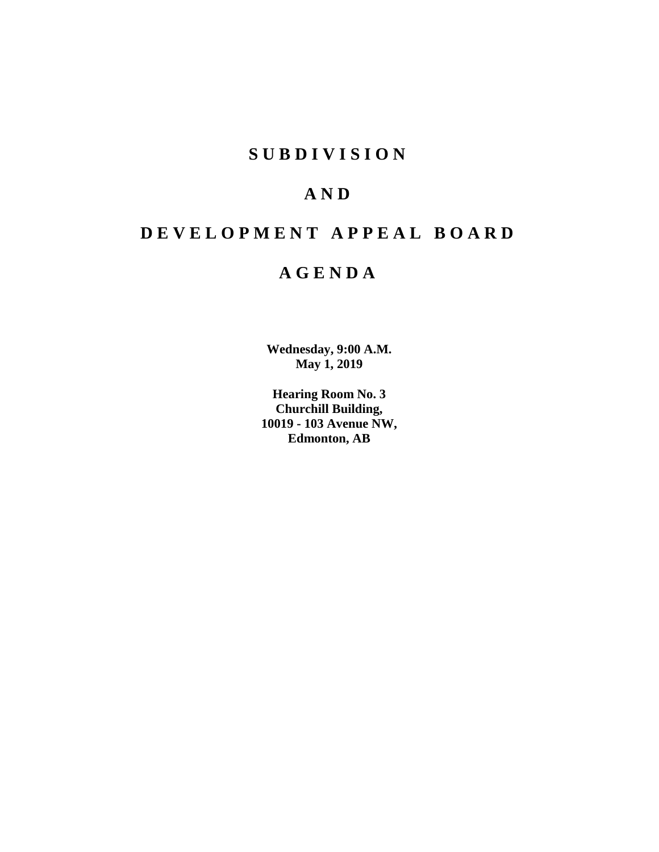## **S U B D I V I S I O N**

## **A N D**

# **D E V E L O P M E N T A P P E A L B O A R D**

## **A G E N D A**

**Wednesday, 9:00 A.M. May 1, 2019**

**Hearing Room No. 3 Churchill Building, 10019 - 103 Avenue NW, Edmonton, AB**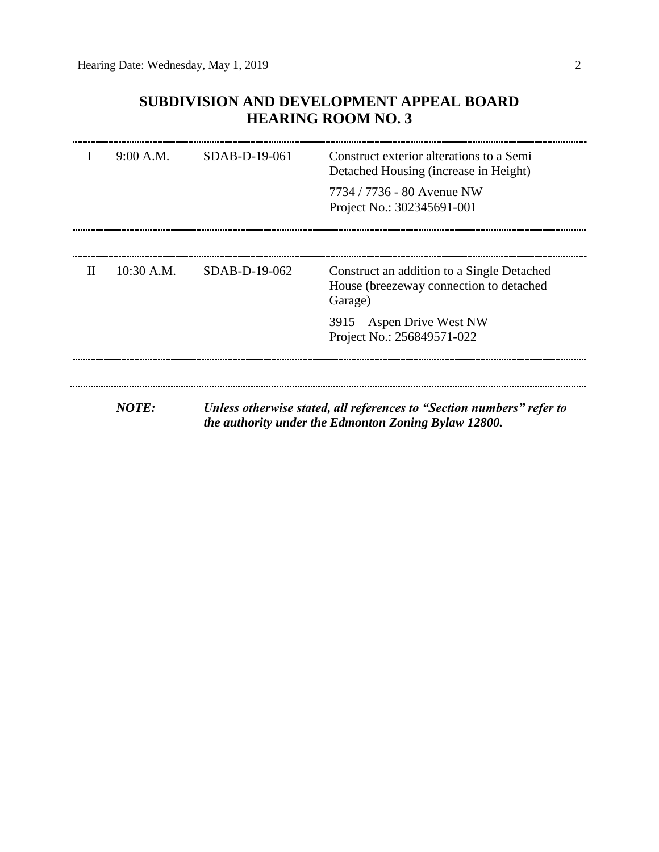## **SUBDIVISION AND DEVELOPMENT APPEAL BOARD HEARING ROOM NO. 3**

|              | 9:00 A.M.    | $SDAB-D-19-061$ | Construct exterior alterations to a Semi<br>Detached Housing (increase in Height)                                             |
|--------------|--------------|-----------------|-------------------------------------------------------------------------------------------------------------------------------|
|              |              |                 | 7734 / 7736 - 80 Avenue NW<br>Project No.: 302345691-001                                                                      |
| $\mathbf{H}$ | $10:30$ A.M. | $SDAB-D-19-062$ | Construct an addition to a Single Detached<br>House (breezeway connection to detached<br>Garage)                              |
|              |              |                 | 3915 – Aspen Drive West NW<br>Project No.: 256849571-022                                                                      |
|              |              |                 |                                                                                                                               |
|              | <b>NOTE:</b> |                 | Unless otherwise stated, all references to "Section numbers" refer to<br>the authority under the Edmonton Zoning Bylaw 12800. |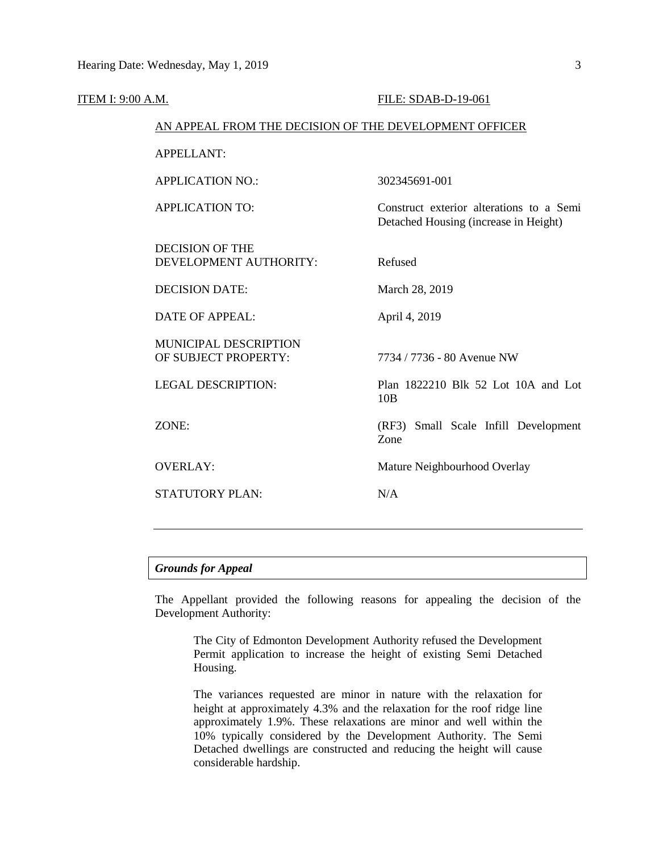| ITEM I: 9:00 A.M. |                                                        | FILE: SDAB-D-19-061                                                               |
|-------------------|--------------------------------------------------------|-----------------------------------------------------------------------------------|
|                   | AN APPEAL FROM THE DECISION OF THE DEVELOPMENT OFFICER |                                                                                   |
|                   | <b>APPELLANT:</b>                                      |                                                                                   |
|                   | <b>APPLICATION NO.:</b>                                | 302345691-001                                                                     |
|                   | <b>APPLICATION TO:</b>                                 | Construct exterior alterations to a Semi<br>Detached Housing (increase in Height) |
|                   | <b>DECISION OF THE</b><br>DEVELOPMENT AUTHORITY:       | Refused                                                                           |
|                   | <b>DECISION DATE:</b>                                  | March 28, 2019                                                                    |
|                   | <b>DATE OF APPEAL:</b>                                 | April 4, 2019                                                                     |
|                   | MUNICIPAL DESCRIPTION<br>OF SUBJECT PROPERTY:          | 7734 / 7736 - 80 Avenue NW                                                        |
|                   | <b>LEGAL DESCRIPTION:</b>                              | Plan 1822210 Blk 52 Lot 10A and Lot<br>10B                                        |
|                   | ZONE:                                                  | (RF3) Small Scale Infill Development<br>Zone                                      |
|                   | <b>OVERLAY:</b>                                        | Mature Neighbourhood Overlay                                                      |
|                   | STATUTORY PLAN:                                        | N/A                                                                               |
|                   |                                                        |                                                                                   |

### *Grounds for Appeal*

The Appellant provided the following reasons for appealing the decision of the Development Authority:

The City of Edmonton Development Authority refused the Development Permit application to increase the height of existing Semi Detached Housing.

The variances requested are minor in nature with the relaxation for height at approximately 4.3% and the relaxation for the roof ridge line approximately 1.9%. These relaxations are minor and well within the 10% typically considered by the Development Authority. The Semi Detached dwellings are constructed and reducing the height will cause considerable hardship.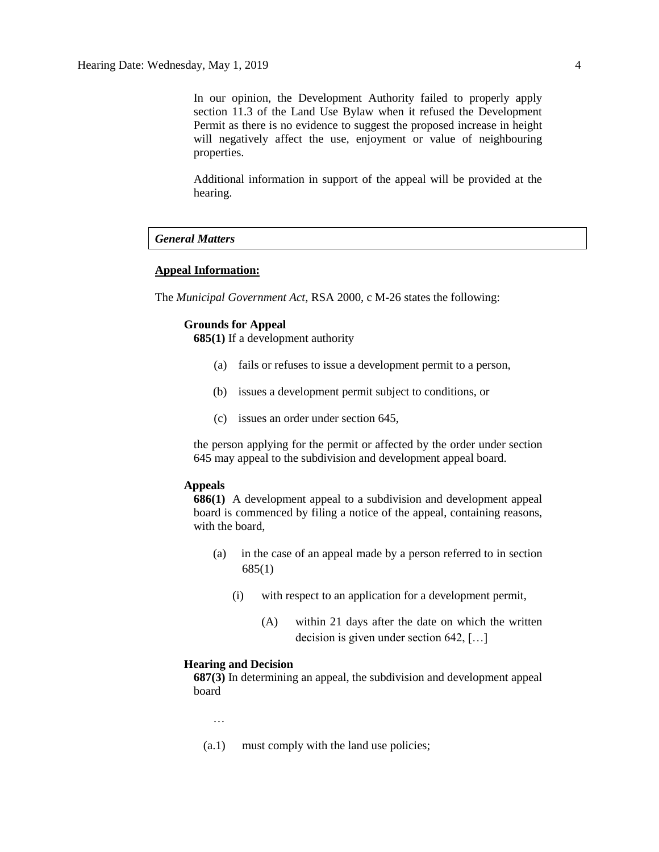In our opinion, the Development Authority failed to properly apply section 11.3 of the Land Use Bylaw when it refused the Development Permit as there is no evidence to suggest the proposed increase in height will negatively affect the use, enjoyment or value of neighbouring properties.

Additional information in support of the appeal will be provided at the hearing.

### *General Matters*

### **Appeal Information:**

The *Municipal Government Act*, RSA 2000, c M-26 states the following:

### **Grounds for Appeal**

**685(1)** If a development authority

- (a) fails or refuses to issue a development permit to a person,
- (b) issues a development permit subject to conditions, or
- (c) issues an order under section 645,

the person applying for the permit or affected by the order under section 645 may appeal to the subdivision and development appeal board.

### **Appeals**

**686(1)** A development appeal to a subdivision and development appeal board is commenced by filing a notice of the appeal, containing reasons, with the board,

- (a) in the case of an appeal made by a person referred to in section 685(1)
	- (i) with respect to an application for a development permit,
		- (A) within 21 days after the date on which the written decision is given under section 642, […]

### **Hearing and Decision**

**687(3)** In determining an appeal, the subdivision and development appeal board

…

(a.1) must comply with the land use policies;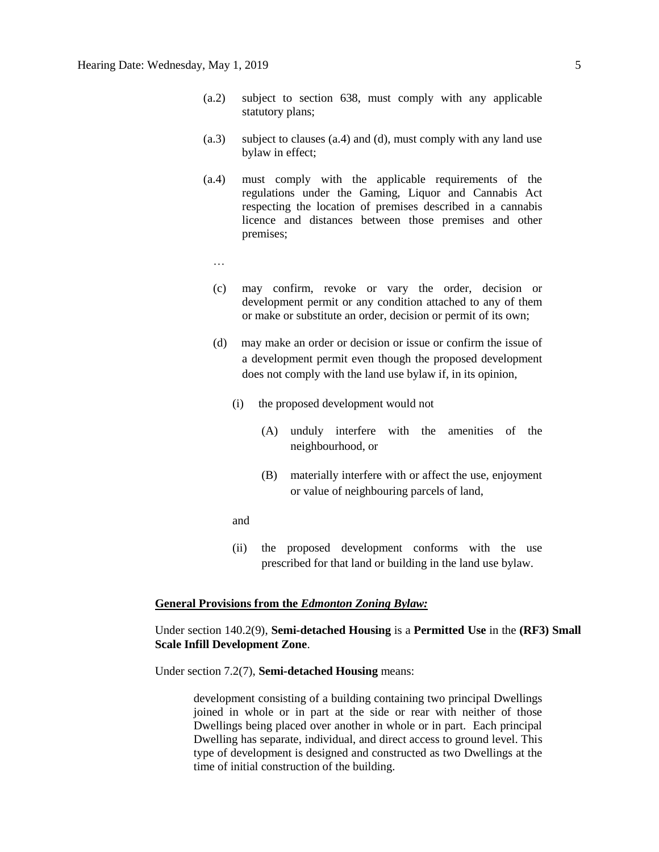- (a.2) subject to section 638, must comply with any applicable statutory plans;
- (a.3) subject to clauses (a.4) and (d), must comply with any land use bylaw in effect;
- (a.4) must comply with the applicable requirements of the regulations under the Gaming, Liquor and Cannabis Act respecting the location of premises described in a cannabis licence and distances between those premises and other premises;
	- …
	- (c) may confirm, revoke or vary the order, decision or development permit or any condition attached to any of them or make or substitute an order, decision or permit of its own;
	- (d) may make an order or decision or issue or confirm the issue of a development permit even though the proposed development does not comply with the land use bylaw if, in its opinion,
		- (i) the proposed development would not
			- (A) unduly interfere with the amenities of the neighbourhood, or
			- (B) materially interfere with or affect the use, enjoyment or value of neighbouring parcels of land,
		- and
		- (ii) the proposed development conforms with the use prescribed for that land or building in the land use bylaw.

### **General Provisions from the** *Edmonton Zoning Bylaw:*

### Under section 140.2(9), **Semi-detached Housing** is a **Permitted Use** in the **(RF3) Small Scale Infill Development Zone**.

Under section 7.2(7), **Semi-detached Housing** means:

development consisting of a building containing two principal Dwellings joined in whole or in part at the side or rear with neither of those Dwellings being placed over another in whole or in part. Each principal Dwelling has separate, individual, and direct access to ground level. This type of development is designed and constructed as two Dwellings at the time of initial construction of the building.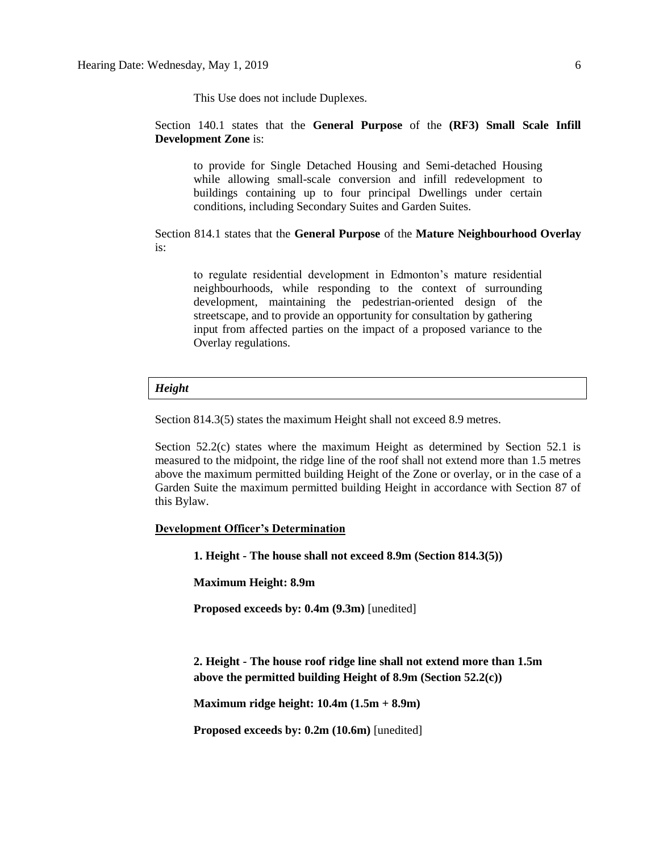This Use does not include Duplexes.

### Section 140.1 states that the **General Purpose** of the **(RF3) Small Scale Infill Development Zone** is:

to provide for Single Detached Housing and Semi-detached Housing while allowing small-scale conversion and infill redevelopment to buildings containing up to four principal Dwellings under certain conditions, including Secondary Suites and Garden Suites.

Section 814.1 states that the **General Purpose** of the **Mature Neighbourhood Overlay** is:

to regulate residential development in Edmonton's mature residential neighbourhoods, while responding to the context of surrounding development, maintaining the pedestrian-oriented design of the streetscape, and to provide an opportunity for consultation by gathering input from affected parties on the impact of a proposed variance to the Overlay regulations.

#### *Height*

Section 814.3(5) states the maximum Height shall not exceed 8.9 metres.

Section 52.2(c) states where the maximum Height as determined by Section 52.1 is measured to the midpoint, the ridge line of the roof shall not extend more than 1.5 metres above the maximum permitted building Height of the Zone or overlay, or in the case of a Garden Suite the maximum permitted building Height in accordance with Section 87 of this Bylaw.

### **Development Officer's Determination**

**1. Height - The house shall not exceed 8.9m (Section 814.3(5))**

**Maximum Height: 8.9m**

**Proposed exceeds by: 0.4m (9.3m)** [unedited]

**2. Height - The house roof ridge line shall not extend more than 1.5m above the permitted building Height of 8.9m (Section 52.2(c))**

**Maximum ridge height: 10.4m (1.5m + 8.9m)**

**Proposed exceeds by: 0.2m (10.6m)** [unedited]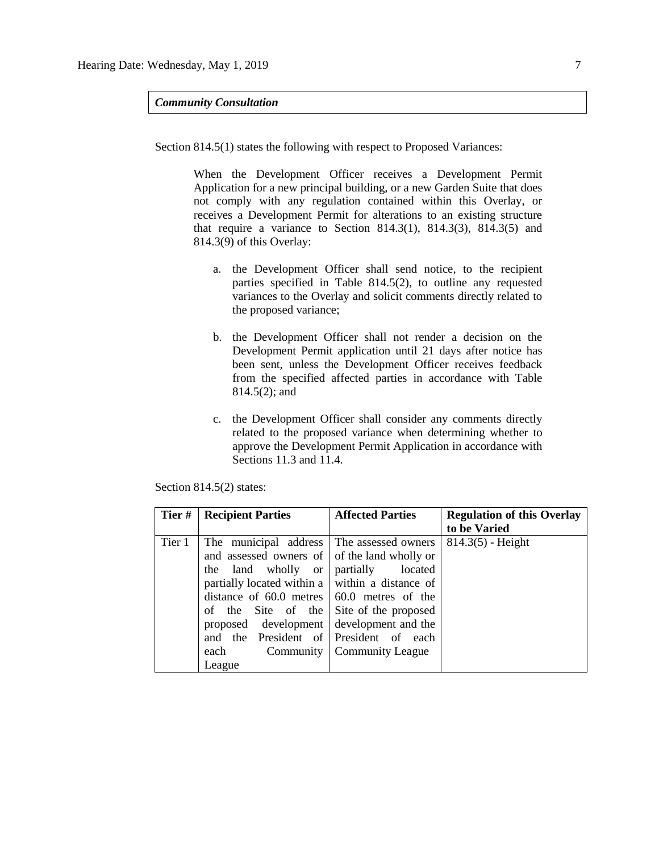*Community Consultation*

Section 814.5(1) states the following with respect to Proposed Variances:

When the Development Officer receives a Development Permit Application for a new principal building, or a new Garden Suite that does not comply with any regulation contained within this Overlay, or receives a Development Permit for alterations to an existing structure that require a variance to Section 814.3(1), 814.3(3), 814.3(5) and 814.3(9) of this Overlay:

- a. the Development Officer shall send notice, to the recipient parties specified in Table 814.5(2), to outline any requested variances to the Overlay and solicit comments directly related to the proposed variance;
- b. the Development Officer shall not render a decision on the Development Permit application until 21 days after notice has been sent, unless the Development Officer receives feedback from the specified affected parties in accordance with Table 814.5(2); and
- c. the Development Officer shall consider any comments directly related to the proposed variance when determining whether to approve the Development Permit Application in accordance with Sections 11.3 and 11.4.

| Tier#  | <b>Recipient Parties</b>                             | <b>Affected Parties</b>      | <b>Regulation of this Overlay</b> |
|--------|------------------------------------------------------|------------------------------|-----------------------------------|
|        |                                                      |                              | to be Varied                      |
| Tier 1 | The municipal address The assessed owners            |                              | $814.3(5)$ - Height               |
|        | and assessed owners of of the land wholly or         |                              |                                   |
|        | the land wholly or                                   | partially<br>located         |                                   |
|        | partially located within a   within a distance of    |                              |                                   |
|        | distance of $60.0$ metres $\vert 60.0$ metres of the |                              |                                   |
|        | of the Site of the Site of the proposed              |                              |                                   |
|        | proposed development                                 | development and the          |                                   |
|        | and the President of                                 | President of each            |                                   |
|        | each                                                 | Community   Community League |                                   |
|        | League                                               |                              |                                   |

Section 814.5(2) states: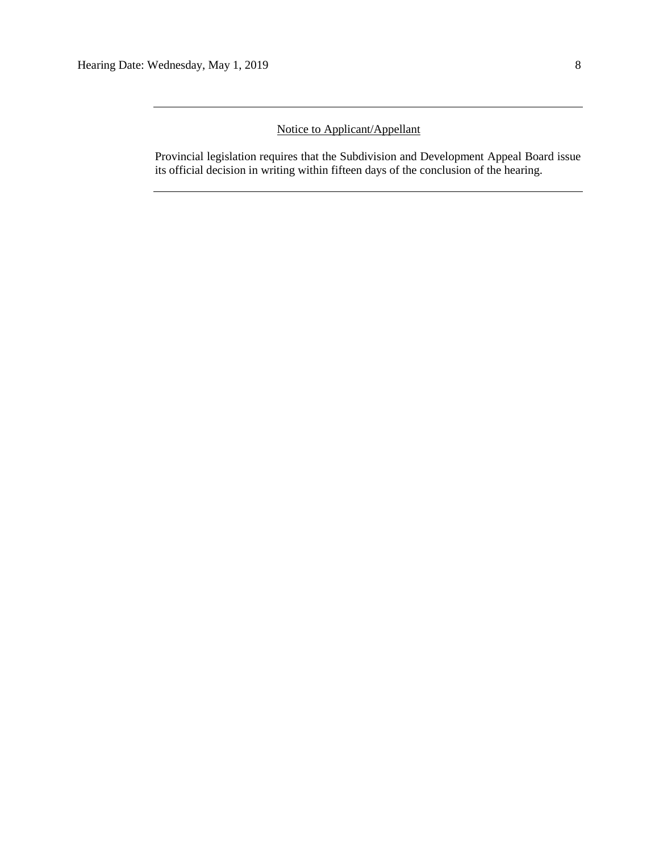### Notice to Applicant/Appellant

Provincial legislation requires that the Subdivision and Development Appeal Board issue its official decision in writing within fifteen days of the conclusion of the hearing.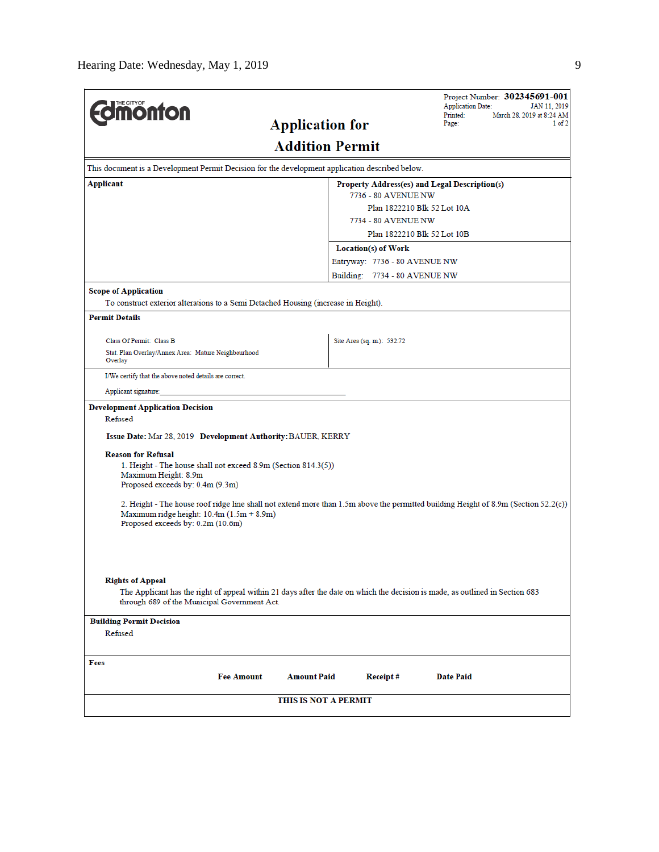| <b>Umonton</b><br><b>Application for</b>                                                                                                                                                                                                                                                                                                                                                                                                                                                                                                                                                                                                                            | Project Number: 302345691-001<br><b>Application Date:</b><br>JAN 11, 2019<br>Printed:<br>March 28, 2019 at 8:24 AM<br>1 of 2<br>Page:<br><b>Addition Permit</b> |  |  |  |
|---------------------------------------------------------------------------------------------------------------------------------------------------------------------------------------------------------------------------------------------------------------------------------------------------------------------------------------------------------------------------------------------------------------------------------------------------------------------------------------------------------------------------------------------------------------------------------------------------------------------------------------------------------------------|-----------------------------------------------------------------------------------------------------------------------------------------------------------------|--|--|--|
| This document is a Development Permit Decision for the development application described below.                                                                                                                                                                                                                                                                                                                                                                                                                                                                                                                                                                     |                                                                                                                                                                 |  |  |  |
| Applicant                                                                                                                                                                                                                                                                                                                                                                                                                                                                                                                                                                                                                                                           |                                                                                                                                                                 |  |  |  |
|                                                                                                                                                                                                                                                                                                                                                                                                                                                                                                                                                                                                                                                                     | Property Address(es) and Legal Description(s)<br>7736 - 80 AVENUE NW                                                                                            |  |  |  |
|                                                                                                                                                                                                                                                                                                                                                                                                                                                                                                                                                                                                                                                                     | Plan 1822210 Blk 52 Lot 10A                                                                                                                                     |  |  |  |
|                                                                                                                                                                                                                                                                                                                                                                                                                                                                                                                                                                                                                                                                     | 7734 - 80 AVENUE NW                                                                                                                                             |  |  |  |
|                                                                                                                                                                                                                                                                                                                                                                                                                                                                                                                                                                                                                                                                     | Plan 1822210 Blk 52 Lot 10B                                                                                                                                     |  |  |  |
|                                                                                                                                                                                                                                                                                                                                                                                                                                                                                                                                                                                                                                                                     | <b>Location(s) of Work</b>                                                                                                                                      |  |  |  |
|                                                                                                                                                                                                                                                                                                                                                                                                                                                                                                                                                                                                                                                                     | Entryway: 7736 - 80 AVENUE NW                                                                                                                                   |  |  |  |
|                                                                                                                                                                                                                                                                                                                                                                                                                                                                                                                                                                                                                                                                     | Building: 7734 - 80 AVENUE NW                                                                                                                                   |  |  |  |
| <b>Scope of Application</b>                                                                                                                                                                                                                                                                                                                                                                                                                                                                                                                                                                                                                                         |                                                                                                                                                                 |  |  |  |
| To construct exterior alterations to a Semi Detached Housing (increase in Height).                                                                                                                                                                                                                                                                                                                                                                                                                                                                                                                                                                                  |                                                                                                                                                                 |  |  |  |
| <b>Permit Details</b>                                                                                                                                                                                                                                                                                                                                                                                                                                                                                                                                                                                                                                               |                                                                                                                                                                 |  |  |  |
| Class Of Permit: Class B                                                                                                                                                                                                                                                                                                                                                                                                                                                                                                                                                                                                                                            | Site Area (sq. m.): 532.72                                                                                                                                      |  |  |  |
| Stat. Plan Overlay/Annex Area: Mature Neighbourhood<br>Overlay                                                                                                                                                                                                                                                                                                                                                                                                                                                                                                                                                                                                      |                                                                                                                                                                 |  |  |  |
| I/We certify that the above noted details are correct.                                                                                                                                                                                                                                                                                                                                                                                                                                                                                                                                                                                                              |                                                                                                                                                                 |  |  |  |
| Applicant signature:                                                                                                                                                                                                                                                                                                                                                                                                                                                                                                                                                                                                                                                |                                                                                                                                                                 |  |  |  |
| <b>Development Application Decision</b><br>Refused<br>Issue Date: Mar 28, 2019 Development Authority: BAUER, KERRY<br><b>Reason for Refusal</b><br>1. Height - The house shall not exceed 8.9m (Section 814.3(5))<br>Maximum Height: 8.9m<br>Proposed exceeds by: 0.4m (9.3m)<br>2. Height - The house roof ridge line shall not extend more than 1.5m above the permitted building Height of 8.9m (Section 52.2(c))<br>Maximum ridge height: $10.4m(1.5m + 8.9m)$<br>Proposed exceeds by: 0.2m (10.6m)<br><b>Rights of Appeal</b><br>The Applicant has the right of appeal within 21 days after the date on which the decision is made, as outlined in Section 683 |                                                                                                                                                                 |  |  |  |
| through 689 of the Municipal Government Act.                                                                                                                                                                                                                                                                                                                                                                                                                                                                                                                                                                                                                        |                                                                                                                                                                 |  |  |  |
| <b>Building Permit Decision</b><br>Refused                                                                                                                                                                                                                                                                                                                                                                                                                                                                                                                                                                                                                          |                                                                                                                                                                 |  |  |  |
| Fees<br><b>Fee Amount</b><br><b>Amount Paid</b>                                                                                                                                                                                                                                                                                                                                                                                                                                                                                                                                                                                                                     | Receipt#<br>Date Paid                                                                                                                                           |  |  |  |
| THIS IS NOT A PERMIT                                                                                                                                                                                                                                                                                                                                                                                                                                                                                                                                                                                                                                                |                                                                                                                                                                 |  |  |  |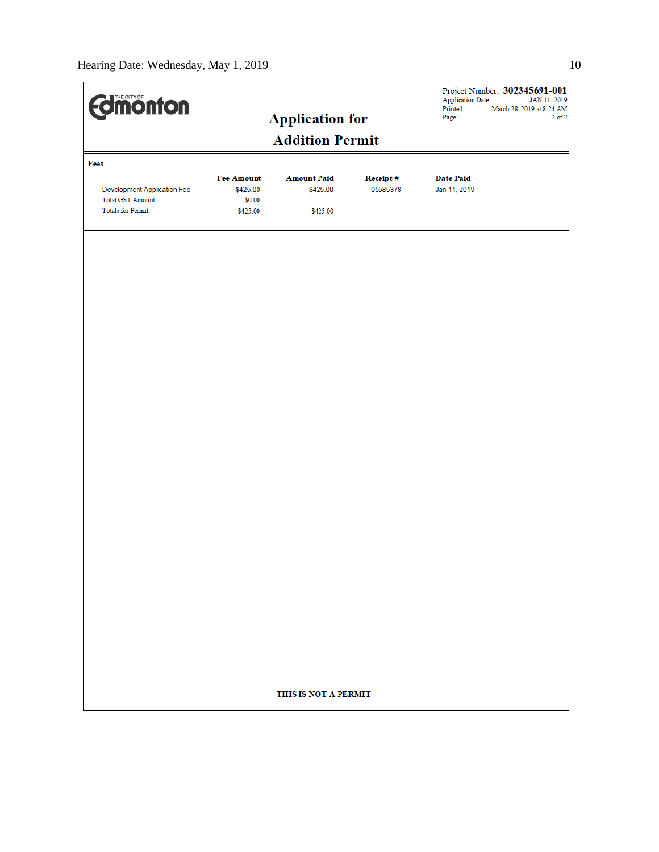| <b>Edinonton</b>                                        |                        |                        |          | <b>Application Date:</b><br>Printed: | Project Number: 302345691-001<br>JAN 11, 2019<br>March 28, 2019 at 8:24 AM |  |
|---------------------------------------------------------|------------------------|------------------------|----------|--------------------------------------|----------------------------------------------------------------------------|--|
|                                                         |                        | <b>Application for</b> |          | Page:                                | $2$ of $2$                                                                 |  |
|                                                         | <b>Addition Permit</b> |                        |          |                                      |                                                                            |  |
| Fees                                                    |                        |                        |          |                                      |                                                                            |  |
|                                                         | <b>Fee Amount</b>      | <b>Amount Paid</b>     | Receipt# | <b>Date Paid</b>                     |                                                                            |  |
| Development Application Fee<br><b>Total GST Amount:</b> | \$425.00               | \$425.00               | 05585378 | Jan 11, 2019                         |                                                                            |  |
| Totals for Permit:                                      | \$0.00<br>\$425.00     | \$425.00               |          |                                      |                                                                            |  |
|                                                         |                        |                        |          |                                      |                                                                            |  |
|                                                         |                        |                        |          |                                      |                                                                            |  |
|                                                         | THIS IS NOT A PERMIT   |                        |          |                                      |                                                                            |  |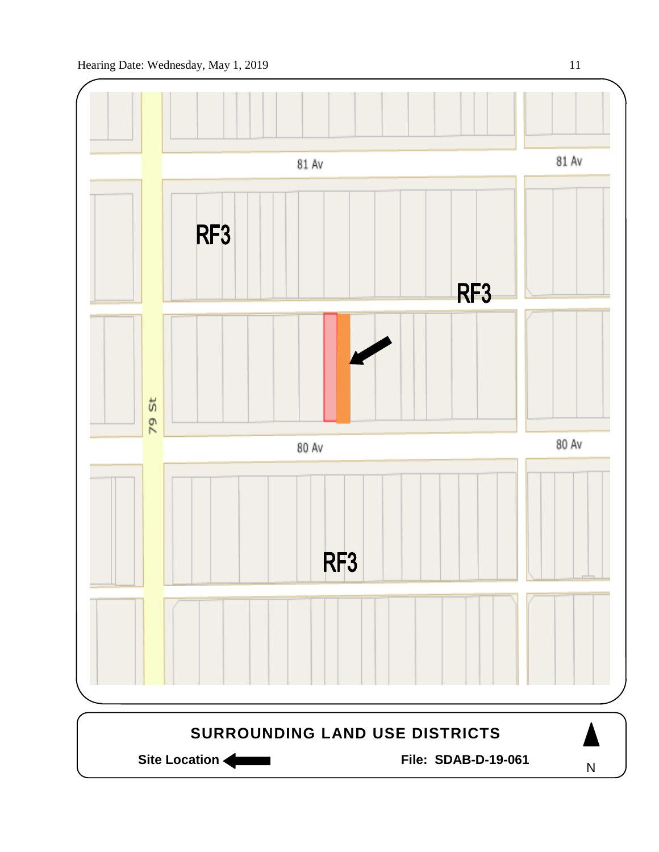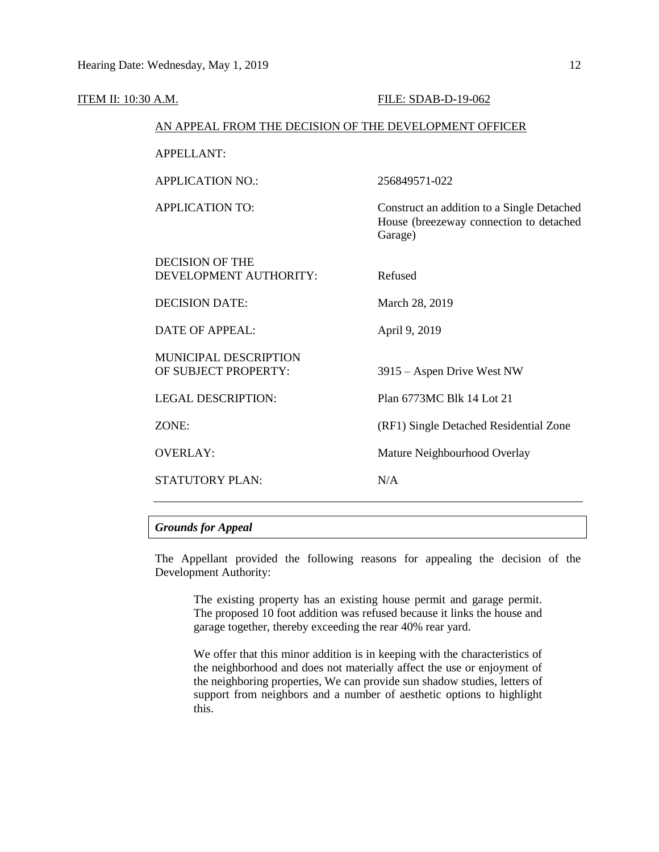| <b>ITEM II: 10:30 A.M.</b>                             |                                                      | FILE: SDAB-D-19-062                                                                              |
|--------------------------------------------------------|------------------------------------------------------|--------------------------------------------------------------------------------------------------|
| AN APPEAL FROM THE DECISION OF THE DEVELOPMENT OFFICER |                                                      |                                                                                                  |
|                                                        | <b>APPELLANT:</b>                                    |                                                                                                  |
|                                                        | <b>APPLICATION NO.:</b>                              | 256849571-022                                                                                    |
|                                                        | <b>APPLICATION TO:</b>                               | Construct an addition to a Single Detached<br>House (breezeway connection to detached<br>Garage) |
|                                                        | <b>DECISION OF THE</b><br>DEVELOPMENT AUTHORITY:     | Refused                                                                                          |
|                                                        | <b>DECISION DATE:</b>                                | March 28, 2019                                                                                   |
|                                                        | <b>DATE OF APPEAL:</b>                               | April 9, 2019                                                                                    |
|                                                        | <b>MUNICIPAL DESCRIPTION</b><br>OF SUBJECT PROPERTY: | 3915 – Aspen Drive West NW                                                                       |
|                                                        | <b>LEGAL DESCRIPTION:</b>                            | Plan 6773MC Blk 14 Lot 21                                                                        |
|                                                        | ZONE:                                                | (RF1) Single Detached Residential Zone                                                           |
|                                                        | <b>OVERLAY:</b>                                      | Mature Neighbourhood Overlay                                                                     |
|                                                        | <b>STATUTORY PLAN:</b>                               | N/A                                                                                              |
|                                                        |                                                      |                                                                                                  |

### *Grounds for Appeal*

The Appellant provided the following reasons for appealing the decision of the Development Authority:

The existing property has an existing house permit and garage permit. The proposed 10 foot addition was refused because it links the house and garage together, thereby exceeding the rear 40% rear yard.

We offer that this minor addition is in keeping with the characteristics of the neighborhood and does not materially affect the use or enjoyment of the neighboring properties, We can provide sun shadow studies, letters of support from neighbors and a number of aesthetic options to highlight this.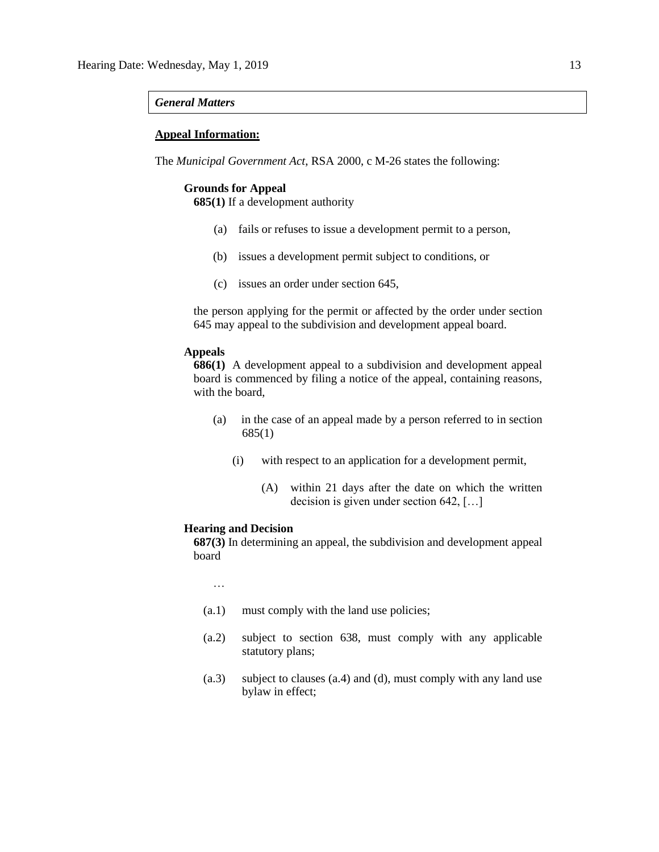### *General Matters*

### **Appeal Information:**

The *Municipal Government Act*, RSA 2000, c M-26 states the following:

### **Grounds for Appeal**

**685(1)** If a development authority

- (a) fails or refuses to issue a development permit to a person,
- (b) issues a development permit subject to conditions, or
- (c) issues an order under section 645,

the person applying for the permit or affected by the order under section 645 may appeal to the subdivision and development appeal board.

### **Appeals**

**686(1)** A development appeal to a subdivision and development appeal board is commenced by filing a notice of the appeal, containing reasons, with the board,

- (a) in the case of an appeal made by a person referred to in section 685(1)
	- (i) with respect to an application for a development permit,
		- (A) within 21 days after the date on which the written decision is given under section 642, […]

#### **Hearing and Decision**

**687(3)** In determining an appeal, the subdivision and development appeal board

…

- (a.1) must comply with the land use policies;
- (a.2) subject to section 638, must comply with any applicable statutory plans;
- (a.3) subject to clauses (a.4) and (d), must comply with any land use bylaw in effect;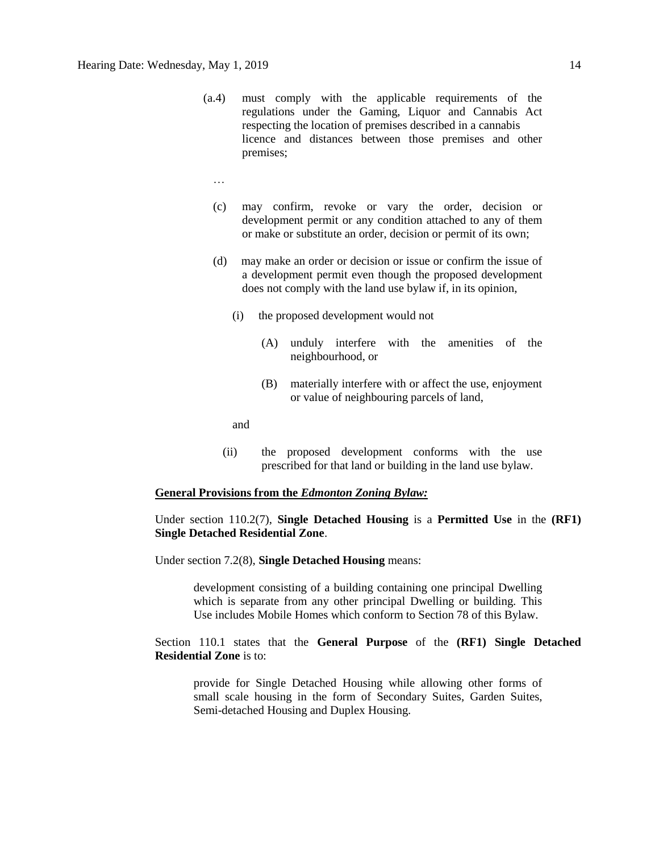- (a.4) must comply with the applicable requirements of the regulations under the Gaming, Liquor and Cannabis Act respecting the location of premises described in a cannabis licence and distances between those premises and other premises;
	- …
	- (c) may confirm, revoke or vary the order, decision or development permit or any condition attached to any of them or make or substitute an order, decision or permit of its own;
	- (d) may make an order or decision or issue or confirm the issue of a development permit even though the proposed development does not comply with the land use bylaw if, in its opinion,
		- (i) the proposed development would not
			- (A) unduly interfere with the amenities of the neighbourhood, or
			- (B) materially interfere with or affect the use, enjoyment or value of neighbouring parcels of land,

and

(ii) the proposed development conforms with the use prescribed for that land or building in the land use bylaw.

### **General Provisions from the** *Edmonton Zoning Bylaw:*

Under section 110.2(7), **Single Detached Housing** is a **Permitted Use** in the **(RF1) Single Detached Residential Zone**.

Under section 7.2(8), **Single Detached Housing** means:

development consisting of a building containing one principal Dwelling which is separate from any other principal Dwelling or building. This Use includes Mobile Homes which conform to Section 78 of this Bylaw.

Section 110.1 states that the **General Purpose** of the **(RF1) Single Detached Residential Zone** is to:

provide for Single Detached Housing while allowing other forms of small scale housing in the form of Secondary Suites, Garden Suites, Semi-detached Housing and Duplex Housing.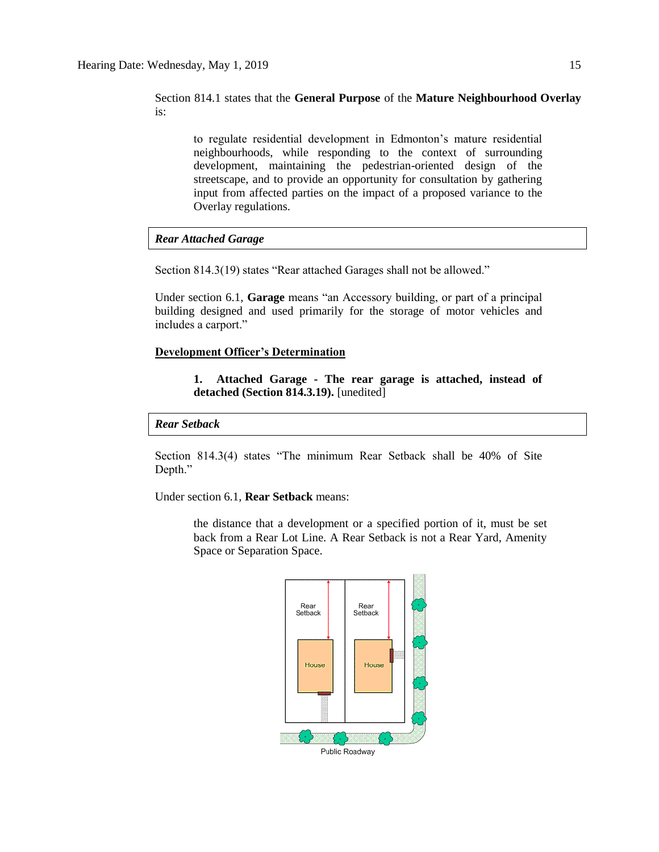Section 814.1 states that the **General Purpose** of the **Mature Neighbourhood Overlay** is:

to regulate residential development in Edmonton's mature residential neighbourhoods, while responding to the context of surrounding development, maintaining the pedestrian-oriented design of the streetscape, and to provide an opportunity for consultation by gathering input from affected parties on the impact of a proposed variance to the Overlay regulations.

### *Rear Attached Garage*

Section 814.3(19) states "Rear attached Garages shall not be allowed."

Under section 6.1, **Garage** means "an Accessory building, or part of a principal building designed and used primarily for the storage of motor vehicles and includes a carport."

### **Development Officer's Determination**

**1. Attached Garage - The rear garage is attached, instead of detached (Section 814.3.19).** [unedited]

### *Rear Setback*

Section 814.3(4) states "The minimum Rear Setback shall be 40% of Site Depth."

Under section 6.1, **Rear Setback** means:

the distance that a development or a specified portion of it, must be set back from a Rear Lot Line. A Rear Setback is not a Rear Yard, Amenity Space or Separation Space.

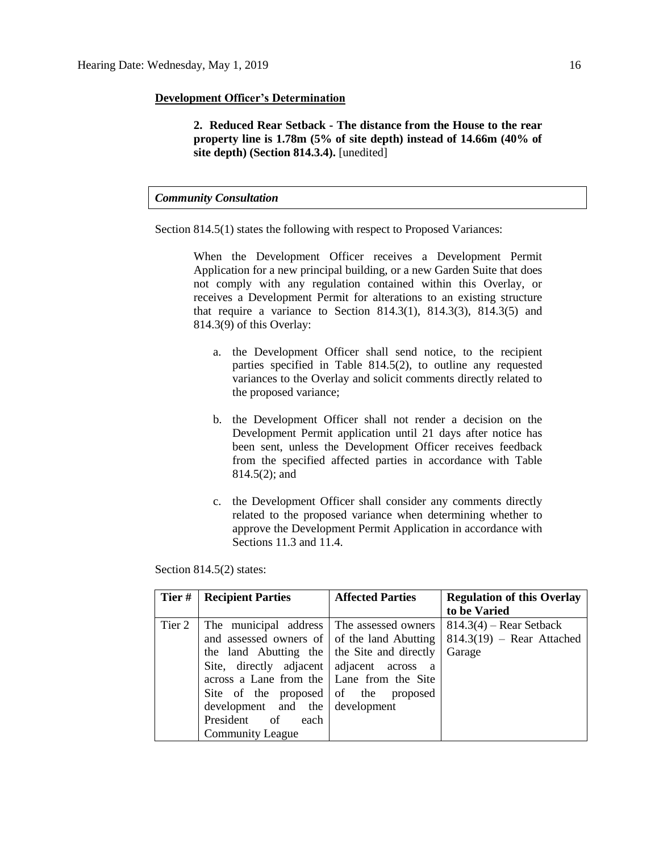### **Development Officer's Determination**

**2. Reduced Rear Setback - The distance from the House to the rear property line is 1.78m (5% of site depth) instead of 14.66m (40% of site depth) (Section 814.3.4).** [unedited]

### *Community Consultation*

Section 814.5(1) states the following with respect to Proposed Variances:

When the Development Officer receives a Development Permit Application for a new principal building, or a new Garden Suite that does not comply with any regulation contained within this Overlay, or receives a Development Permit for alterations to an existing structure that require a variance to Section 814.3(1), 814.3(3), 814.3(5) and 814.3(9) of this Overlay:

- a. the Development Officer shall send notice, to the recipient parties specified in Table 814.5(2), to outline any requested variances to the Overlay and solicit comments directly related to the proposed variance;
- b. the Development Officer shall not render a decision on the Development Permit application until 21 days after notice has been sent, unless the Development Officer receives feedback from the specified affected parties in accordance with Table 814.5(2); and
- c. the Development Officer shall consider any comments directly related to the proposed variance when determining whether to approve the Development Permit Application in accordance with Sections 11.3 and 11.4.

Section 814.5(2) states:

| Tier # | <b>Recipient Parties</b>                                                                                                                                                                                                                                                                                                               | <b>Affected Parties</b> | <b>Regulation of this Overlay</b>                                  |
|--------|----------------------------------------------------------------------------------------------------------------------------------------------------------------------------------------------------------------------------------------------------------------------------------------------------------------------------------------|-------------------------|--------------------------------------------------------------------|
|        |                                                                                                                                                                                                                                                                                                                                        |                         | to be Varied                                                       |
| Tier 2 | The municipal address The assessed owners<br>and assessed owners of of the land Abutting<br>the land Abutting the the Site and directly<br>Site, directly adjacent adjacent across a<br>across a Lane from the   Lane from the Site<br>Site of the proposed of the proposed<br>development and the development<br>President of<br>each |                         | $814.3(4)$ – Rear Setback<br>$814.3(19)$ – Rear Attached<br>Garage |
|        | <b>Community League</b>                                                                                                                                                                                                                                                                                                                |                         |                                                                    |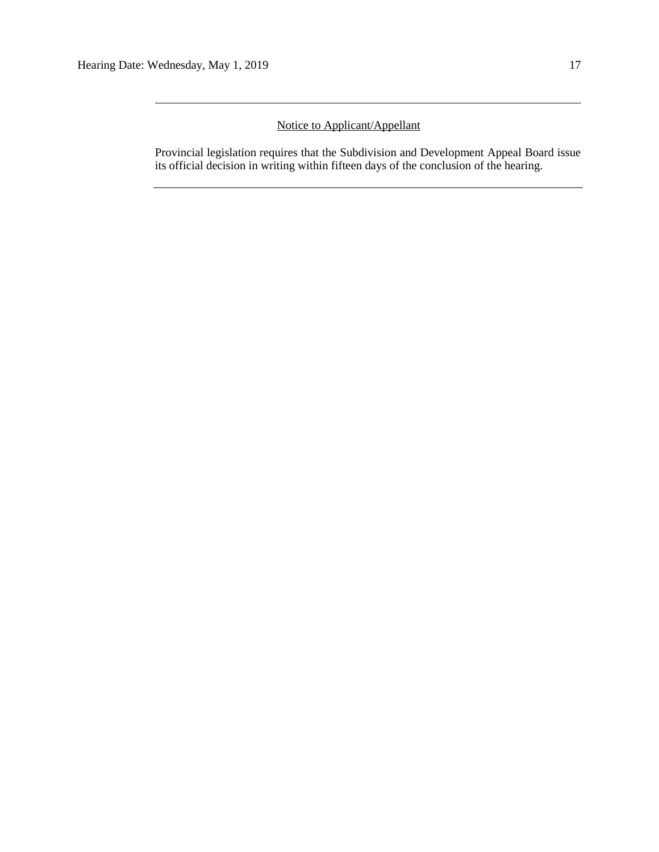### Notice to Applicant/Appellant

Provincial legislation requires that the Subdivision and Development Appeal Board issue its official decision in writing within fifteen days of the conclusion of the hearing.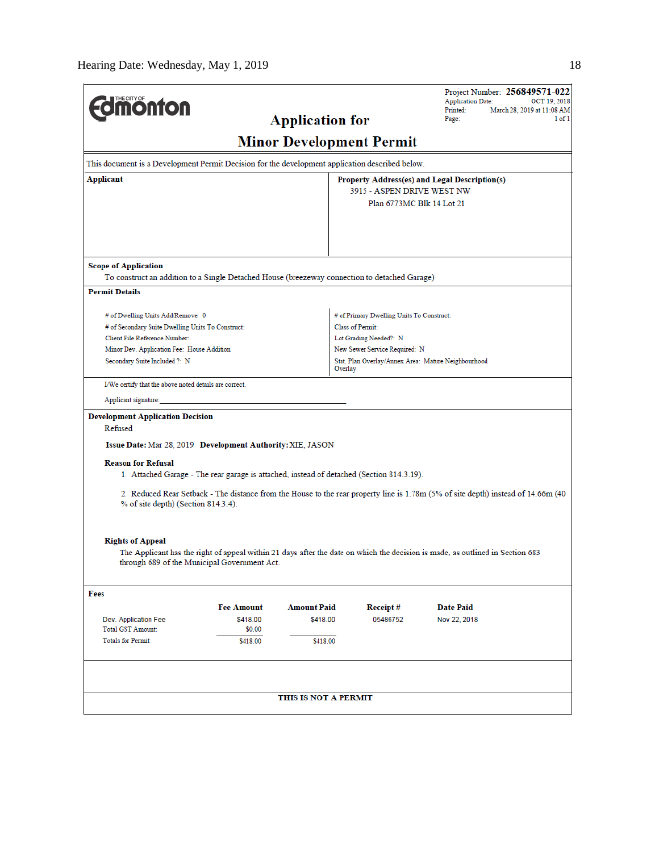|                                                                                                                                                                          |                    |                                                                | Project Number: 256849571-022                                                      |  |  |
|--------------------------------------------------------------------------------------------------------------------------------------------------------------------------|--------------------|----------------------------------------------------------------|------------------------------------------------------------------------------------|--|--|
| <b><i><u><del><b>M</b>önton</del></u></i></b>                                                                                                                            |                    |                                                                | <b>Application Date:</b><br>OCT 19, 2018<br>Printed:<br>March 28, 2019 at 11:08 AM |  |  |
| <b>Application for</b>                                                                                                                                                   |                    |                                                                | Page:<br>1 of 1                                                                    |  |  |
|                                                                                                                                                                          |                    | <b>Minor Development Permit</b>                                |                                                                                    |  |  |
| This document is a Development Permit Decision for the development application described below.                                                                          |                    |                                                                |                                                                                    |  |  |
| Applicant<br>Property Address(es) and Legal Description(s)                                                                                                               |                    |                                                                |                                                                                    |  |  |
|                                                                                                                                                                          |                    | 3915 - ASPEN DRIVE WEST NW                                     |                                                                                    |  |  |
|                                                                                                                                                                          |                    | Plan 6773MC Blk 14 Lot 21                                      |                                                                                    |  |  |
|                                                                                                                                                                          |                    |                                                                |                                                                                    |  |  |
|                                                                                                                                                                          |                    |                                                                |                                                                                    |  |  |
|                                                                                                                                                                          |                    |                                                                |                                                                                    |  |  |
| <b>Scope of Application</b>                                                                                                                                              |                    |                                                                |                                                                                    |  |  |
| To construct an addition to a Single Detached House (breezeway connection to detached Garage)                                                                            |                    |                                                                |                                                                                    |  |  |
| <b>Permit Details</b>                                                                                                                                                    |                    |                                                                |                                                                                    |  |  |
| # of Dwelling Units Add/Remove: 0                                                                                                                                        |                    | # of Primary Dwelling Units To Construct:                      |                                                                                    |  |  |
| # of Secondary Suite Dwelling Units To Construct:                                                                                                                        |                    | Class of Permit:                                               |                                                                                    |  |  |
| Client File Reference Number:                                                                                                                                            |                    | Lot Grading Needed?: N                                         |                                                                                    |  |  |
| Minor Dev. Application Fee: House Addition                                                                                                                               |                    | New Sewer Service Required: N                                  |                                                                                    |  |  |
| Secondary Suite Included ?: N                                                                                                                                            |                    | Stat. Plan Overlay/Annex Area: Mature Neighbourhood<br>Overlay |                                                                                    |  |  |
| I/We certify that the above noted details are correct.                                                                                                                   |                    |                                                                |                                                                                    |  |  |
| Applicant signature:                                                                                                                                                     |                    |                                                                |                                                                                    |  |  |
| <b>Development Application Decision</b>                                                                                                                                  |                    |                                                                |                                                                                    |  |  |
| Refused                                                                                                                                                                  |                    |                                                                |                                                                                    |  |  |
| Issue Date: Mar 28, 2019 Development Authority: XIE, JASON                                                                                                               |                    |                                                                |                                                                                    |  |  |
| <b>Reason for Refusal</b>                                                                                                                                                |                    |                                                                |                                                                                    |  |  |
| 1. Attached Garage - The rear garage is attached, instead of detached (Section 814.3.19).                                                                                |                    |                                                                |                                                                                    |  |  |
|                                                                                                                                                                          |                    |                                                                |                                                                                    |  |  |
| 2. Reduced Rear Setback - The distance from the House to the rear property line is 1.78m (5% of site depth) instead of 14.66m (40<br>% of site depth) (Section 814.3.4). |                    |                                                                |                                                                                    |  |  |
|                                                                                                                                                                          |                    |                                                                |                                                                                    |  |  |
|                                                                                                                                                                          |                    |                                                                |                                                                                    |  |  |
| <b>Rights of Appeal</b>                                                                                                                                                  |                    |                                                                |                                                                                    |  |  |
| The Applicant has the right of appeal within 21 days after the date on which the decision is made, as outlined in Section 683                                            |                    |                                                                |                                                                                    |  |  |
| through 689 of the Municipal Government Act.                                                                                                                             |                    |                                                                |                                                                                    |  |  |
|                                                                                                                                                                          |                    |                                                                |                                                                                    |  |  |
| Fees                                                                                                                                                                     |                    |                                                                |                                                                                    |  |  |
| <b>Fee Amount</b>                                                                                                                                                        | <b>Amount Paid</b> | Receipt#                                                       | <b>Date Paid</b>                                                                   |  |  |
| \$418.00<br>Dev. Application Fee                                                                                                                                         | \$418.00           | 05486752                                                       | Nov 22, 2018                                                                       |  |  |
| <b>Total GST Amount:</b>                                                                                                                                                 | \$0.00             |                                                                |                                                                                    |  |  |
| <b>Totals for Permit:</b><br>\$418.00                                                                                                                                    | \$418.00           |                                                                |                                                                                    |  |  |
|                                                                                                                                                                          |                    |                                                                |                                                                                    |  |  |
|                                                                                                                                                                          |                    |                                                                |                                                                                    |  |  |
|                                                                                                                                                                          |                    |                                                                |                                                                                    |  |  |
| THIS IS NOT A PERMIT                                                                                                                                                     |                    |                                                                |                                                                                    |  |  |